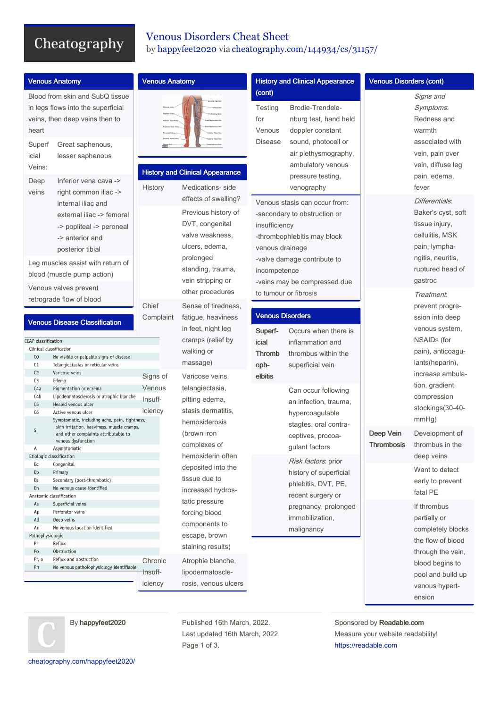# Cheatography

### Venous Disorders Cheat Sheet by [happyfeet2020](http://www.cheatography.com/happyfeet2020/) via [cheatography.com/144934/cs/31157/](http://www.cheatography.com/happyfeet2020/cheat-sheets/venous-disorders)

| <b>Venous Anatomy</b>                                                                                            |                                                                                                                                                                                                                | <b>Venous Anatomy</b>         |                                                                                                                                                                                 | <b>History and Clinical Appearance</b>                                   |                                                                                                                                                                                                                                                                | <b>Venous Disorders (cont)</b> |                                                                                                                                                         |
|------------------------------------------------------------------------------------------------------------------|----------------------------------------------------------------------------------------------------------------------------------------------------------------------------------------------------------------|-------------------------------|---------------------------------------------------------------------------------------------------------------------------------------------------------------------------------|--------------------------------------------------------------------------|----------------------------------------------------------------------------------------------------------------------------------------------------------------------------------------------------------------------------------------------------------------|--------------------------------|---------------------------------------------------------------------------------------------------------------------------------------------------------|
| heart<br>Superf<br>icial<br>Veins:<br>Deep                                                                       | Blood from skin and SubQ tissue<br>in legs flows into the superficial<br>veins, then deep veins then to<br>Great saphenous,<br>lesser saphenous<br>Inferior vena cava ->                                       | Anterior Tibial Arten         | <b>History and Clinical Appearance</b>                                                                                                                                          | (cont)<br>Testing<br>for<br>Venous<br><b>Disease</b>                     | Brodie-Trendele-<br>nburg test, hand held<br>doppler constant<br>sound, photocell or<br>air plethysmography,<br>ambulatory venous<br>pressure testing,                                                                                                         |                                | Signs and<br>Symptoms:<br>Redness and<br>warmth<br>associated with<br>vein, pain over<br>vein, diffuse leg<br>pain, edema,                              |
| veins                                                                                                            | right common iliac -><br>internal iliac and<br>external iliac -> femoral<br>-> popliteal -> peroneal<br>-> anterior and<br>posterior tibial<br>Leg muscles assist with return of<br>blood (muscle pump action) | History                       | Medications- side<br>effects of swelling?<br>Previous history of<br>DVT, congenital<br>valve weakness,<br>ulcers, edema,<br>prolonged<br>standing, trauma,<br>vein stripping or | insufficiency<br>venous drainage<br>incompetence                         | venography<br>Venous stasis can occur from:<br>-secondary to obstruction or<br>-thrombophlebitis may block<br>-valve damage contribute to<br>-veins may be compressed due                                                                                      |                                | fever<br>Differentials:<br>Baker's cyst, soft<br>tissue injury,<br>cellulitis, MSK<br>pain, lympha-<br>ngitis, neuritis,<br>ruptured head of<br>gastroc |
| Venous valves prevent<br>retrograde flow of blood<br><b>Venous Disease Classification</b>                        |                                                                                                                                                                                                                | Chief<br>Complaint            | other procedures<br>Sense of tiredness,<br>fatigue, heaviness<br>in feet, night leg                                                                                             | to tumour or fibrosis<br><b>Venous Disorders</b><br>Occurs when there is |                                                                                                                                                                                                                                                                |                                | Treatment.<br>prevent progre-<br>ssion into deep<br>venous system,                                                                                      |
| <b>EAP</b> classification<br>Co<br>C <sub>1</sub><br>C <sub>2</sub><br>C <sub>3</sub><br>C4a<br>C <sub>4</sub> b | Clinical classification<br>No visible or palpable signs of disease<br>Telangiectasias or reticular veins<br>Varicose veins<br>Edema<br>Pigmentation or eczema<br>Lipodermatosclerosis or atrophic blanche      | Signs of<br>Venous            | cramps (relief by<br>walking or<br>massage)<br>Varicose veins,<br>telangiectasia,                                                                                               | Superf-<br>icial<br><b>Thromb</b><br>oph-<br>elbitis                     | inflammation and<br>thrombus within the<br>superficial vein<br>Can occur following                                                                                                                                                                             |                                | NSAIDs (for<br>pain), anticoagu-<br>lants(heparin),<br>increase ambula-<br>tion, gradient<br>compression                                                |
| C <sub>5</sub><br>C6<br>S                                                                                        | Healed venous ulcer<br>Active venous ulcer<br>Symptomatic, including ache, pain, tightness,<br>skin irritation, heaviness, muscle cramps,<br>and other complaints attributable to<br>venous dysfunction        | Insuff-<br>iciency            | pitting edema,<br>stasis dermatitis.<br>hemosiderosis<br>(brown iron                                                                                                            |                                                                          | an infection, trauma,<br>hypercoagulable<br>stagtes, oral contra-<br>ceptives, procoa-<br>gulant factors<br>Risk factors: prior<br>history of superficial<br>phlebitis, DVT, PE,<br>recent surgery or<br>pregnancy, prolonged<br>immobilization,<br>malignancy | Deep Vein                      | stockings(30-40-<br>mmHg)<br>Development of                                                                                                             |
| Α<br>Ec                                                                                                          | Asymptomatic<br>Etiologic classification<br>Congenital                                                                                                                                                         |                               | complexes of<br>hemosiderin often<br>deposited into the                                                                                                                         |                                                                          |                                                                                                                                                                                                                                                                | Thrombosis                     | thrombus in the<br>deep veins<br>Want to detect                                                                                                         |
| Ep<br>Es<br>En                                                                                                   | Primary<br>Secondary (post-thrombotic)<br>No venous cause identified<br>Anatomic classification                                                                                                                |                               | tissue due to<br>increased hydros-                                                                                                                                              |                                                                          |                                                                                                                                                                                                                                                                |                                | early to prevent<br>fatal PE                                                                                                                            |
| As<br>Ap<br>Ad<br>An<br>Pathophysiologic<br>Pr                                                                   | Superficial veins<br>Perforator veins<br>Deep veins<br>No venous location identified<br>Reflux                                                                                                                 |                               | tatic pressure<br>forcing blood<br>components to<br>escape, brown<br>staining results)                                                                                          |                                                                          |                                                                                                                                                                                                                                                                |                                | If thrombus<br>partially or<br>completely blocks<br>the flow of blood                                                                                   |
| Po<br>Pr, o<br>Pn                                                                                                | Obstruction<br>Reflux and obstruction<br>No venous patholophysiology identifiable                                                                                                                              | Chronic<br>Insuff-<br>iciency | Atrophie blanche,<br>lipodermatoscle-<br>rosis, venous ulcers                                                                                                                   |                                                                          |                                                                                                                                                                                                                                                                |                                | through the vein,<br>blood begins to<br>pool and build up<br>venous hypert-<br>ension                                                                   |

By happyfeet2020

Published 16th March, 2022. Last updated 16th March, 2022. Page 1 of 3.

Sponsored by Readable.com Measure your website readability! <https://readable.com>

[cheatography.com/happyfeet2020/](http://www.cheatography.com/happyfeet2020/)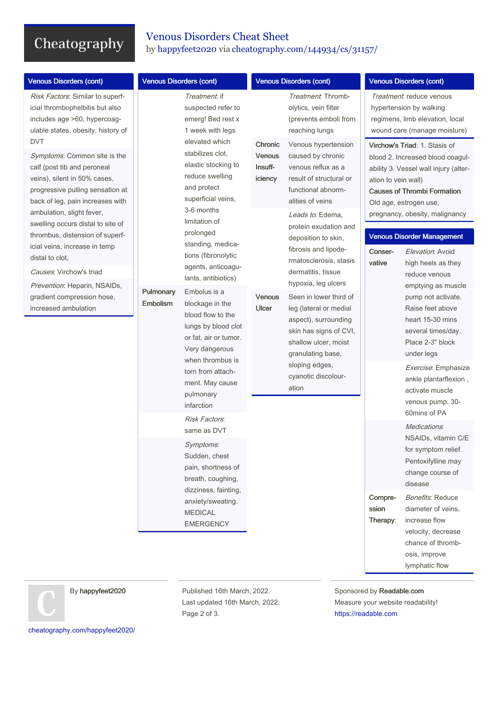# Cheatography

### Venous Disorders Cheat Sheet by [happyfeet2020](http://www.cheatography.com/happyfeet2020/) via [cheatography.com/144934/cs/31157/](http://www.cheatography.com/happyfeet2020/cheat-sheets/venous-disorders)

| <b>Venous Disorders (cont)</b>                                                                                                                                      | <b>Venous Disorders (cont)</b> |                                                                                                                                                                                                                                      | <b>Venous Disorders (cont)</b>      |                                                                                                                                                                                                                          | <b>Venous Disorders (cont)</b>                                                                                                                          |                                                                                                                                                                                 |
|---------------------------------------------------------------------------------------------------------------------------------------------------------------------|--------------------------------|--------------------------------------------------------------------------------------------------------------------------------------------------------------------------------------------------------------------------------------|-------------------------------------|--------------------------------------------------------------------------------------------------------------------------------------------------------------------------------------------------------------------------|---------------------------------------------------------------------------------------------------------------------------------------------------------|---------------------------------------------------------------------------------------------------------------------------------------------------------------------------------|
| Risk Factors: Similar to superf-<br>icial thrombophelbitis but also<br>includes age >60, hypercoag-<br>ulable states, obesity, history of<br><b>DVT</b>             |                                | <i>Treatment</i> : if<br>suspected refer to<br>emerg! Bed rest x<br>1 week with legs<br>elevated which                                                                                                                               | Chronic                             | Treatment. Thromb-<br>olytics, vein filter<br>(prevents emboli from<br>reaching lungs<br>Venous hypertension                                                                                                             | Treatment: reduce venous<br>hypertension by walking<br>regimens, limb elevation, local<br>wound care (manage moisture)<br>Virchow's Triad: 1. Stasis of |                                                                                                                                                                                 |
| Symptoms: Common site is the<br>calf (post tib and peroneal<br>veins), silent in 50% cases,<br>progressive pulling sensation at<br>back of leg, pain increases with |                                | stabilizes clot,<br>elastic stocking to<br>reduce swelling<br>and protect<br>superficial veins,<br>3-6 months<br>limitation of<br>prolonged<br>standing, medica-<br>tions (fibronolytic<br>agents, anticoagu-                        | <b>Venous</b><br>Insuff-<br>iciency | caused by chronic<br>venous reflux as a<br>result of structural or<br>functional abnorm-<br>alities of veins                                                                                                             | ation to vein wall)                                                                                                                                     | blood 2. Increased blood coagul-<br>ability 3. Vessel wall injury (alter-<br><b>Causes of Thrombi Formation:</b><br>Old age, estrogen use,                                      |
| ambulation, slight fever,<br>swelling occurs distal to site of<br>thrombus, distension of superf-<br>icial veins, increase in temp                                  |                                |                                                                                                                                                                                                                                      |                                     | Leads to: Edema,<br>protein exudation and<br>deposition to skin,<br>fibrosis and lipode-<br>rmatosclerosis, stasis<br>dermatitis, tissue                                                                                 | pregnancy, obesity, malignancy<br><b>Venous Disorder Management</b><br>Elevation: Avoid<br>Conser-                                                      |                                                                                                                                                                                 |
| distal to clot,<br>Causes: Virchow's triad                                                                                                                          |                                |                                                                                                                                                                                                                                      |                                     |                                                                                                                                                                                                                          | vative                                                                                                                                                  | high heels as they<br>reduce venous<br>emptying as muscle<br>pump not activate.<br>Raise feet above<br>heart 15-30 mins<br>several times/day.<br>Place 2-3" block<br>under legs |
| Prevention: Heparin, NSAIDs,<br>gradient compression hose,<br>increased ambulation                                                                                  | Pulmonary<br>Embolism          | lants, antibiotics)<br>Embolus is a<br>blockage in the<br>blood flow to the<br>lungs by blood clot<br>or fat, air or tumor.<br>Very dangerous<br>when thrombus is<br>torn from attach-<br>ment. May cause<br>pulmonary<br>infarction | Venous<br>Ulcer                     | hypoxia, leg ulcers<br>Seen in lower third of<br>leg (lateral or medial<br>aspect), surrounding<br>skin has signs of CVI,<br>shallow ulcer, moist<br>granulating base,<br>sloping edges,<br>cyanotic discolour-<br>ation |                                                                                                                                                         |                                                                                                                                                                                 |
|                                                                                                                                                                     |                                |                                                                                                                                                                                                                                      |                                     |                                                                                                                                                                                                                          |                                                                                                                                                         | Exercise: Emphasize<br>ankle plantarflexion,<br>activate muscle<br>venous pump. 30-<br>60mins of PA                                                                             |
|                                                                                                                                                                     |                                | Risk Factors:<br>same as DVT<br>Symptoms:<br>Sudden, chest<br>pain, shortness of<br>breath, coughing,<br>dizziness, fainting,<br>anxiety/sweating.<br><b>MEDICAL</b><br><b>EMERGENCY</b>                                             |                                     |                                                                                                                                                                                                                          |                                                                                                                                                         | Medications.<br>NSAIDs, vitamin C/E<br>for symptom relief.<br>Pentoxifylline may<br>change course of<br>disease                                                                 |
|                                                                                                                                                                     |                                |                                                                                                                                                                                                                                      |                                     |                                                                                                                                                                                                                          | Compre-<br>ssion<br>Therapy:                                                                                                                            | <b>Benefits: Reduce</b><br>diameter of veins,<br>increase flow<br>velocity, decrease<br>chance of thromb-<br>osis, improve<br>lymphatic flow                                    |

By happyfeet2020

Published 16th March, 2022. Last updated 16th March, 2022. Page 2 of 3.

Sponsored by Readable.com Measure your website readability! <https://readable.com>

[cheatography.com/happyfeet2020/](http://www.cheatography.com/happyfeet2020/)